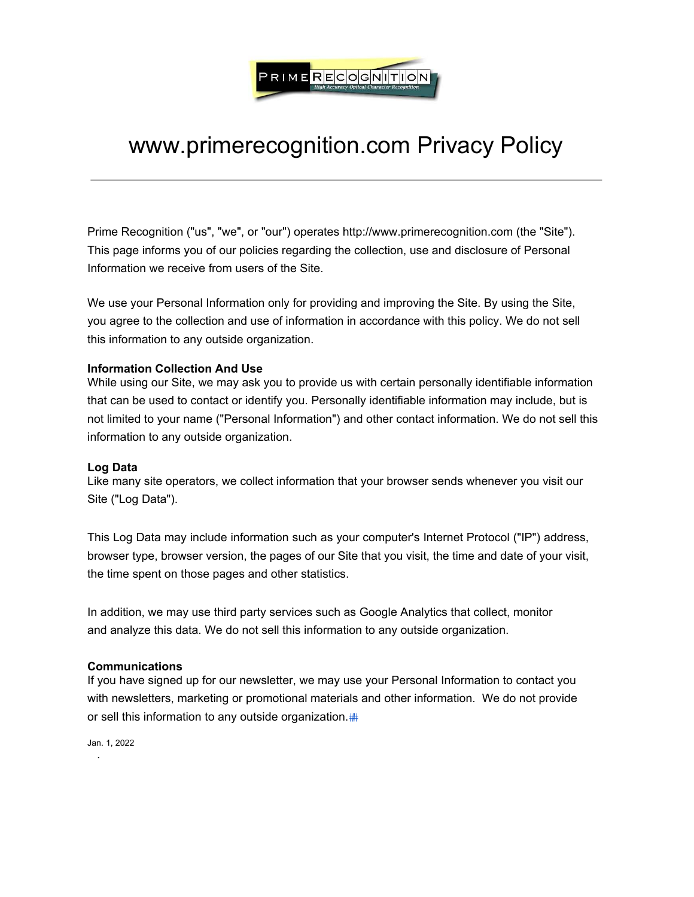

# www.primerecognition.com Privacy Policy

Prime Recognition ("us", "we", or "our") operates http://www.primerecognition.com (the "Site"). This page informs you of our policies regarding the collection, use and disclosure of Personal Information we receive from users of the Site.

We use your Personal Information only for providing and improving the Site. By using the Site, you agree to the collection and use of information in accordance with this policy. We do not sell this information to any outside organization.

### **Information Collection And Use**

While using our Site, we may ask you to provide us with certain personally identifiable information that can be used to contact or identify you. Personally identifiable information may include, but is not limited to your name ("Personal Information") and other contact information. We do not sell this information to any outside organization.

#### **Log Data**

Like many site operators, we collect information that your browser sends whenever you visit our Site ("Log Data").

This Log Data may include information such as your computer's Internet Protocol ("IP") address, browser type, browser version, the pages of our Site that you visit, the time and date of your visit, the time spent on those pages and other statistics.

In addition, we may use third party services such as Google Analytics that collect, monitor and analyze this data. We do not sell this information to any outside organization.

# **Communications**

If you have signed up for our newsletter, we may use your Personal Information to contact you with newsletters, marketing or promotional materials and other information. We do not provide or sell this information to any outside organization.

Jan. 1, 2022 .